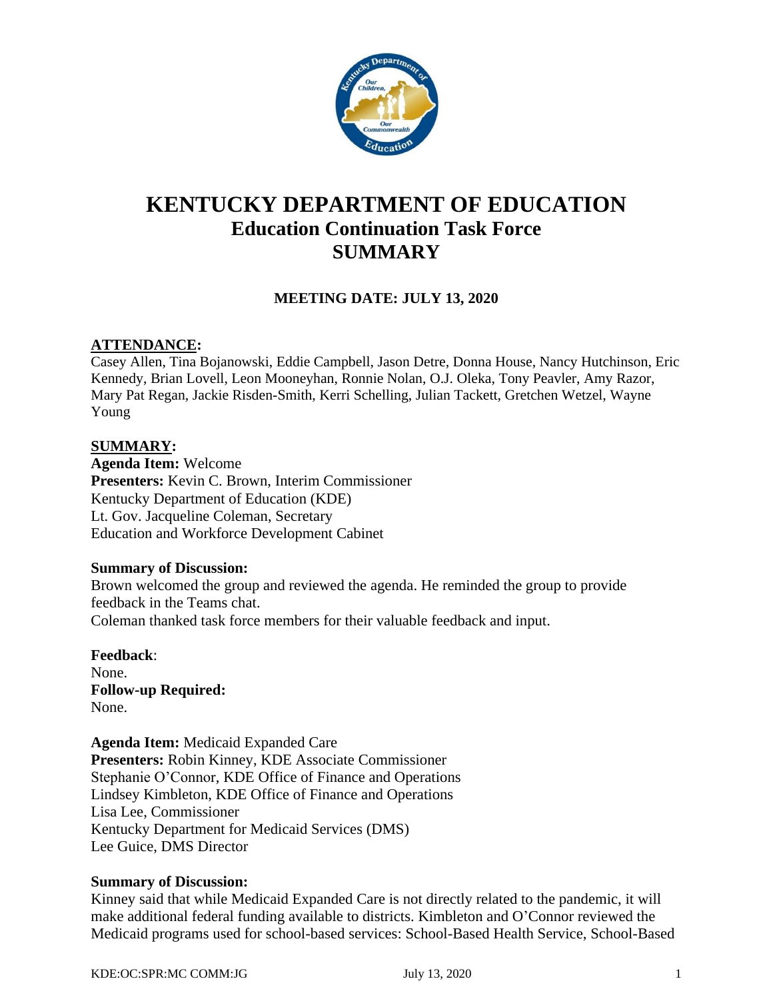

# **KENTUCKY DEPARTMENT OF EDUCATION Education Continuation Task Force SUMMARY**

# **MEETING DATE: JULY 13, 2020**

## **ATTENDANCE:**

Casey Allen, Tina Bojanowski, Eddie Campbell, Jason Detre, Donna House, Nancy Hutchinson, Eric Kennedy, Brian Lovell, Leon Mooneyhan, Ronnie Nolan, O.J. Oleka, Tony Peavler, Amy Razor, Mary Pat Regan, Jackie Risden-Smith, Kerri Schelling, Julian Tackett, Gretchen Wetzel, Wayne Young

#### **SUMMARY:**

**Agenda Item:** Welcome **Presenters:** Kevin C. Brown, Interim Commissioner Kentucky Department of Education (KDE) Lt. Gov. Jacqueline Coleman, Secretary Education and Workforce Development Cabinet

#### **Summary of Discussion:**

Brown welcomed the group and reviewed the agenda. He reminded the group to provide feedback in the Teams chat. Coleman thanked task force members for their valuable feedback and input.

**Feedback**: None. **Follow-up Required:** None.

**Agenda Item:** Medicaid Expanded Care **Presenters:** Robin Kinney, KDE Associate Commissioner Stephanie O'Connor, KDE Office of Finance and Operations Lindsey Kimbleton, KDE Office of Finance and Operations Lisa Lee, Commissioner Kentucky Department for Medicaid Services (DMS) Lee Guice, DMS Director

#### **Summary of Discussion:**

Kinney said that while Medicaid Expanded Care is not directly related to the pandemic, it will make additional federal funding available to districts. Kimbleton and O'Connor reviewed the Medicaid programs used for school-based services: School-Based Health Service, School-Based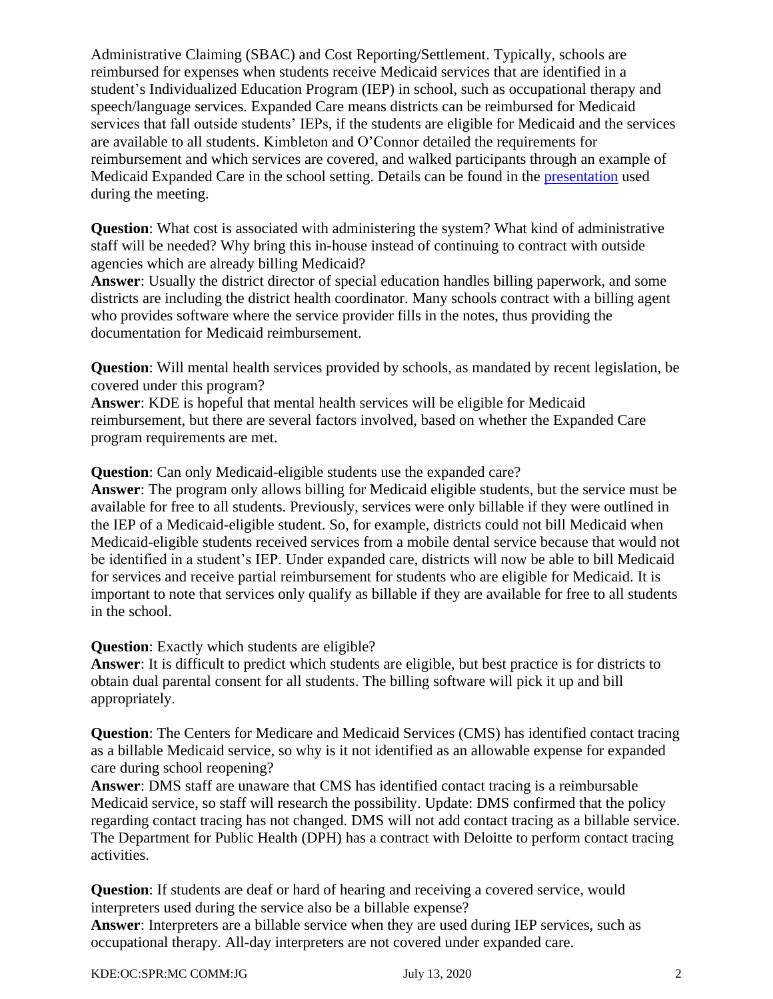Administrative Claiming (SBAC) and Cost Reporting/Settlement. Typically, schools are reimbursed for expenses when students receive Medicaid services that are identified in a student's Individualized Education Program (IEP) in school, such as occupational therapy and speech/language services. Expanded Care means districts can be reimbursed for Medicaid services that fall outside students' IEPs, if the students are eligible for Medicaid and the services are available to all students. Kimbleton and O'Connor detailed the requirements for reimbursement and which services are covered, and walked participants through an example of Medicaid Expanded Care in the school setting. Details can be found in the [presentation](https://education.ky.gov/CommOfEd/adv/Documents/Education%20Continuation/Expanded%20Care%20for%20Superintendents.pdf) used during the meeting.

**Question**: What cost is associated with administering the system? What kind of administrative staff will be needed? Why bring this in-house instead of continuing to contract with outside agencies which are already billing Medicaid?

**Answer**: Usually the district director of special education handles billing paperwork, and some districts are including the district health coordinator. Many schools contract with a billing agent who provides software where the service provider fills in the notes, thus providing the documentation for Medicaid reimbursement.

**Question**: Will mental health services provided by schools, as mandated by recent legislation, be covered under this program?

**Answer**: KDE is hopeful that mental health services will be eligible for Medicaid reimbursement, but there are several factors involved, based on whether the Expanded Care program requirements are met.

**Question**: Can only Medicaid-eligible students use the expanded care?

**Answer**: The program only allows billing for Medicaid eligible students, but the service must be available for free to all students. Previously, services were only billable if they were outlined in the IEP of a Medicaid-eligible student. So, for example, districts could not bill Medicaid when Medicaid-eligible students received services from a mobile dental service because that would not be identified in a student's IEP. Under expanded care, districts will now be able to bill Medicaid for services and receive partial reimbursement for students who are eligible for Medicaid. It is important to note that services only qualify as billable if they are available for free to all students in the school.

**Question**: Exactly which students are eligible?

**Answer**: It is difficult to predict which students are eligible, but best practice is for districts to obtain dual parental consent for all students. The billing software will pick it up and bill appropriately.

**Question**: The Centers for Medicare and Medicaid Services (CMS) has identified contact tracing as a billable Medicaid service, so why is it not identified as an allowable expense for expanded care during school reopening?

**Answer**: DMS staff are unaware that CMS has identified contact tracing is a reimbursable Medicaid service, so staff will research the possibility. Update: DMS confirmed that the policy regarding contact tracing has not changed. DMS will not add contact tracing as a billable service. The Department for Public Health (DPH) has a contract with Deloitte to perform contact tracing activities.

**Question**: If students are deaf or hard of hearing and receiving a covered service, would interpreters used during the service also be a billable expense?

**Answer**: Interpreters are a billable service when they are used during IEP services, such as occupational therapy. All-day interpreters are not covered under expanded care.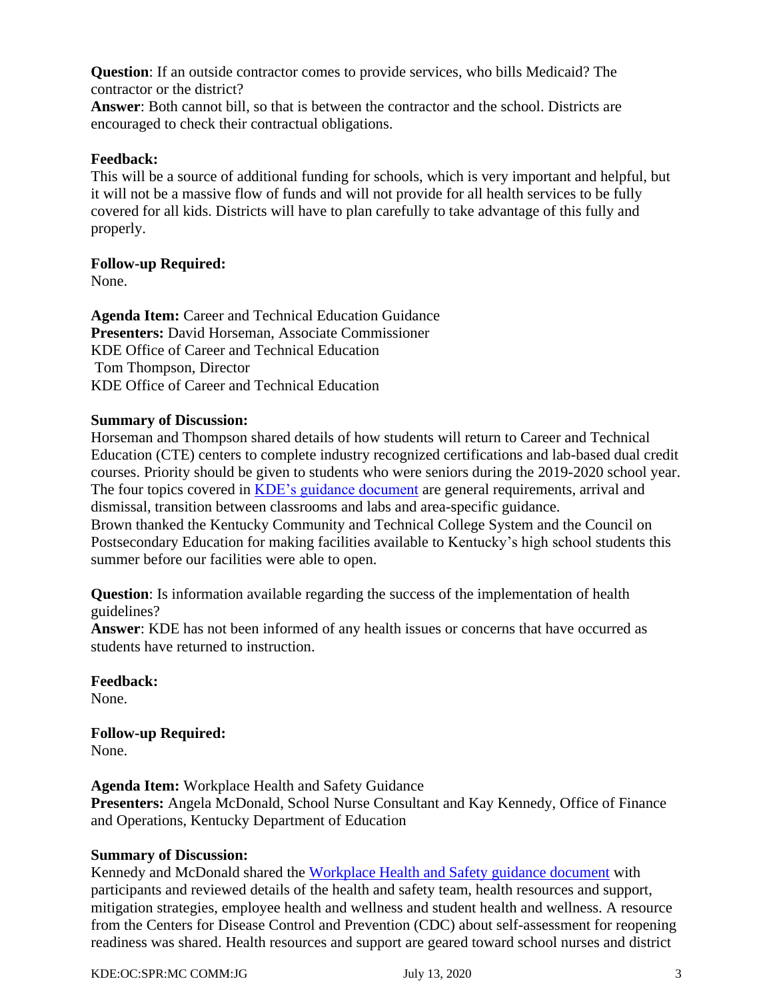**Question**: If an outside contractor comes to provide services, who bills Medicaid? The contractor or the district?

**Answer**: Both cannot bill, so that is between the contractor and the school. Districts are encouraged to check their contractual obligations.

### **Feedback:**

This will be a source of additional funding for schools, which is very important and helpful, but it will not be a massive flow of funds and will not provide for all health services to be fully covered for all kids. Districts will have to plan carefully to take advantage of this fully and properly.

#### **Follow-up Required:**

None.

**Agenda Item:** Career and Technical Education Guidance **Presenters:** David Horseman, Associate Commissioner KDE Office of Career and Technical Education Tom Thompson, Director KDE Office of Career and Technical Education

#### **Summary of Discussion:**

Horseman and Thompson shared details of how students will return to Career and Technical Education (CTE) centers to complete industry recognized certifications and lab-based dual credit courses. Priority should be given to students who were seniors during the 2019-2020 school year. The four topics covered in [KDE's guidance document](https://education.ky.gov/comm/Documents/COVID%20Guidance%20-%20Plan%20for%20Reopening%20Secondary%20CTE%20Labs%20During%20Summer%202020%20-%20FINAL.pdf) are general requirements, arrival and dismissal, transition between classrooms and labs and area-specific guidance. Brown thanked the Kentucky Community and Technical College System and the Council on Postsecondary Education for making facilities available to Kentucky's high school students this summer before our facilities were able to open.

**Question**: Is information available regarding the success of the implementation of health guidelines?

**Answer**: KDE has not been informed of any health issues or concerns that have occurred as students have returned to instruction.

**Feedback:** None.

**Follow-up Required:** None.

**Agenda Item:** Workplace Health and Safety Guidance **Presenters:** Angela McDonald, School Nurse Consultant and Kay Kennedy, Office of Finance and Operations, Kentucky Department of Education

#### **Summary of Discussion:**

Kennedy and McDonald shared the [Workplace Health and Safety guidance document](https://education.ky.gov/comm/Documents/Reopening%20Considerations%20Workplace%20Health%20and%20Safety%20FINAL.pdf) with participants and reviewed details of the health and safety team, health resources and support, mitigation strategies, employee health and wellness and student health and wellness. A resource from the Centers for Disease Control and Prevention (CDC) about self-assessment for reopening readiness was shared. Health resources and support are geared toward school nurses and district

KDE:OC:SPR:MC COMM:JG July 13, 2020 3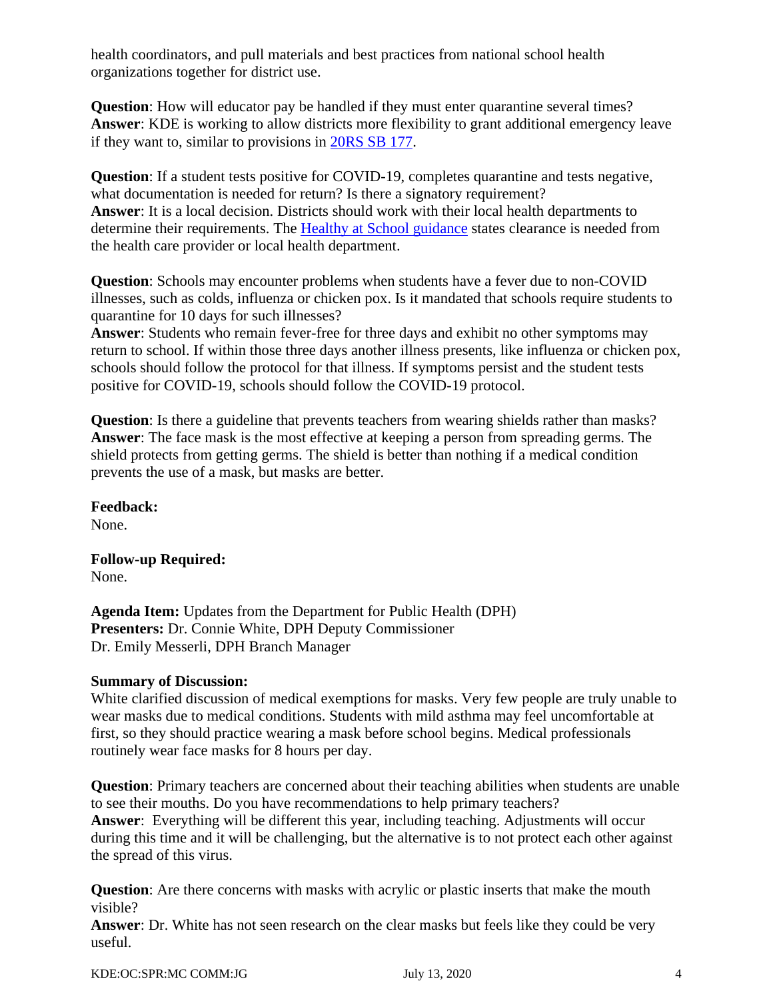health coordinators, and pull materials and best practices from national school health organizations together for district use.

**Question**: How will educator pay be handled if they must enter quarantine several times? **Answer**: KDE is working to allow districts more flexibility to grant additional emergency leave if they want to, similar to provisions in [20RS SB 177.](https://apps.legislature.ky.gov/record/20rs/sb177.html#amendments)

**Question**: If a student tests positive for COVID-19, completes quarantine and tests negative, what documentation is needed for return? Is there a signatory requirement? **Answer**: It is a local decision. Districts should work with their local health departments to determine their requirements. The [Healthy at School](https://education.ky.gov/comm/Documents/Safety%20Expectations_FINAL%20DOC.pdf) guidance states clearance is needed from the health care provider or local health department.

**Question**: Schools may encounter problems when students have a fever due to non-COVID illnesses, such as colds, influenza or chicken pox. Is it mandated that schools require students to quarantine for 10 days for such illnesses?

**Answer**: Students who remain fever-free for three days and exhibit no other symptoms may return to school. If within those three days another illness presents, like influenza or chicken pox, schools should follow the protocol for that illness. If symptoms persist and the student tests positive for COVID-19, schools should follow the COVID-19 protocol.

**Question**: Is there a guideline that prevents teachers from wearing shields rather than masks? **Answer**: The face mask is the most effective at keeping a person from spreading germs. The shield protects from getting germs. The shield is better than nothing if a medical condition prevents the use of a mask, but masks are better.

**Feedback:** None.

**Follow-up Required:** None.

**Agenda Item:** Updates from the Department for Public Health (DPH) **Presenters:** Dr. Connie White, DPH Deputy Commissioner Dr. Emily Messerli, DPH Branch Manager

#### **Summary of Discussion:**

White clarified discussion of medical exemptions for masks. Very few people are truly unable to wear masks due to medical conditions. Students with mild asthma may feel uncomfortable at first, so they should practice wearing a mask before school begins. Medical professionals routinely wear face masks for 8 hours per day.

**Question**: Primary teachers are concerned about their teaching abilities when students are unable to see their mouths. Do you have recommendations to help primary teachers? **Answer**: Everything will be different this year, including teaching. Adjustments will occur during this time and it will be challenging, but the alternative is to not protect each other against the spread of this virus.

**Question:** Are there concerns with masks with acrylic or plastic inserts that make the mouth visible?

**Answer**: Dr. White has not seen research on the clear masks but feels like they could be very useful.

KDE:OC:SPR:MC COMM:JG July 13, 2020 4